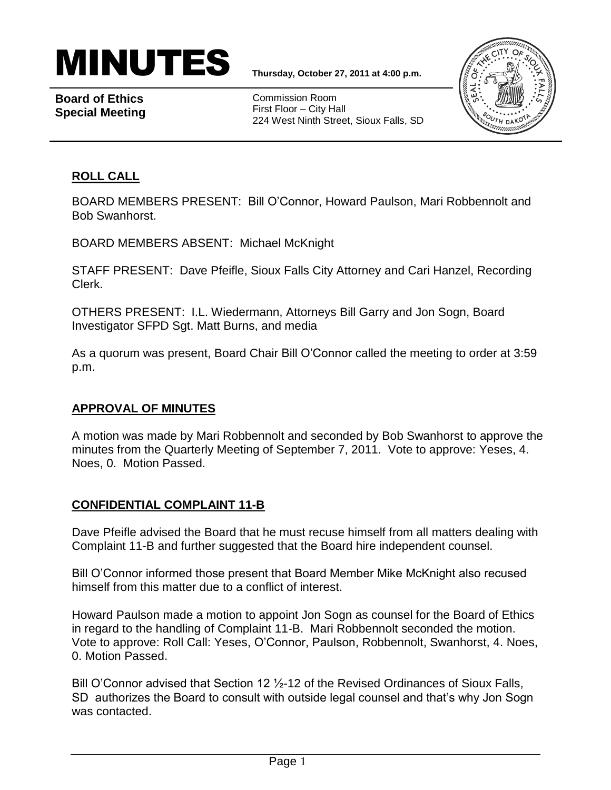

**Board of Ethics Special Meeting**

Commission Room First Floor – City Hall 224 West Ninth Street, Sioux Falls, SD



## **ROLL CALL**

BOARD MEMBERS PRESENT: Bill O'Connor, Howard Paulson, Mari Robbennolt and Bob Swanhorst.

BOARD MEMBERS ABSENT: Michael McKnight

STAFF PRESENT: Dave Pfeifle, Sioux Falls City Attorney and Cari Hanzel, Recording Clerk.

OTHERS PRESENT: I.L. Wiedermann, Attorneys Bill Garry and Jon Sogn, Board Investigator SFPD Sgt. Matt Burns, and media

As a quorum was present, Board Chair Bill O'Connor called the meeting to order at 3:59 p.m.

## **APPROVAL OF MINUTES**

A motion was made by Mari Robbennolt and seconded by Bob Swanhorst to approve the minutes from the Quarterly Meeting of September 7, 2011. Vote to approve: Yeses, 4. Noes, 0. Motion Passed.

## **CONFIDENTIAL COMPLAINT 11-B**

Dave Pfeifle advised the Board that he must recuse himself from all matters dealing with Complaint 11-B and further suggested that the Board hire independent counsel.

Bill O'Connor informed those present that Board Member Mike McKnight also recused himself from this matter due to a conflict of interest.

Howard Paulson made a motion to appoint Jon Sogn as counsel for the Board of Ethics in regard to the handling of Complaint 11-B. Mari Robbennolt seconded the motion. Vote to approve: Roll Call: Yeses, O'Connor, Paulson, Robbennolt, Swanhorst, 4. Noes, 0. Motion Passed.

Bill O'Connor advised that Section 12 ½-12 of the Revised Ordinances of Sioux Falls, SD authorizes the Board to consult with outside legal counsel and that's why Jon Sogn was contacted.